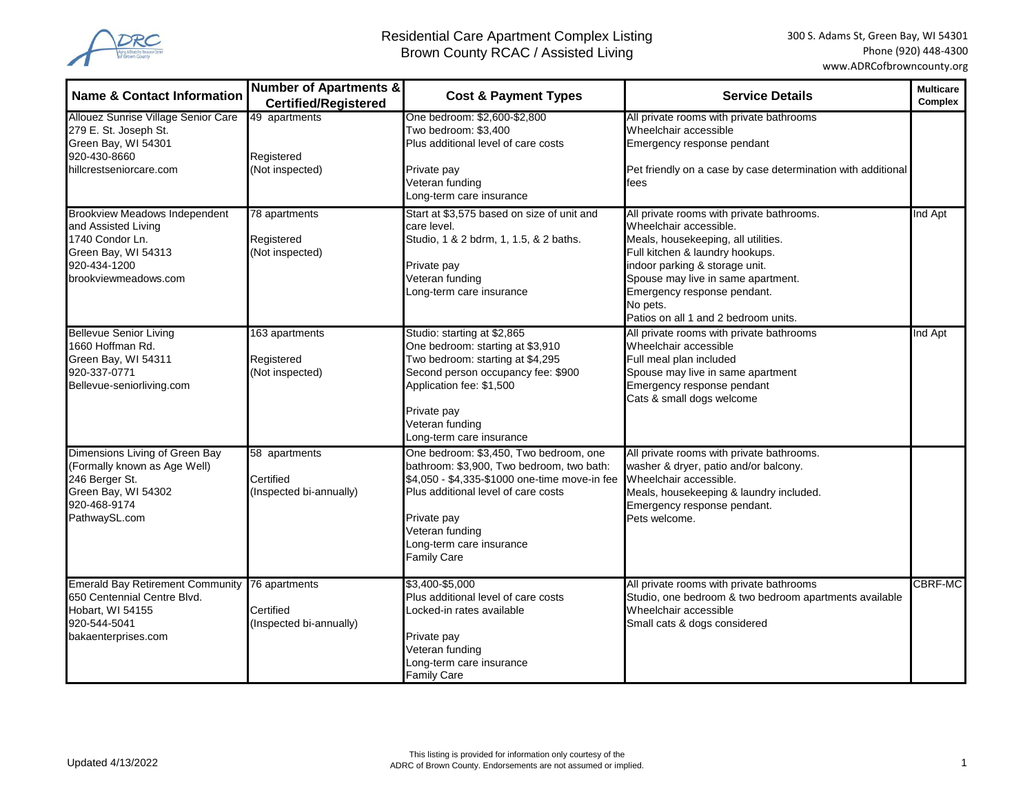

| <b>Name &amp; Contact Information</b>                                                                                                         | <b>Number of Apartments &amp;</b><br><b>Certified/Registered</b> | <b>Cost &amp; Payment Types</b>                                                                                                                                                                                                                          | <b>Service Details</b>                                                                                                                                                                                                                                                                                   | <b>Multicare</b><br><b>Complex</b> |
|-----------------------------------------------------------------------------------------------------------------------------------------------|------------------------------------------------------------------|----------------------------------------------------------------------------------------------------------------------------------------------------------------------------------------------------------------------------------------------------------|----------------------------------------------------------------------------------------------------------------------------------------------------------------------------------------------------------------------------------------------------------------------------------------------------------|------------------------------------|
| Allouez Sunrise Village Senior Care<br>279 E. St. Joseph St.<br>Green Bay, WI 54301<br>920-430-8660<br>hillcrestseniorcare.com                | 49 apartments<br>Registered<br>(Not inspected)                   | One bedroom: \$2,600-\$2,800<br>Two bedroom: \$3,400<br>Plus additional level of care costs<br>Private pay<br>Veteran funding                                                                                                                            | All private rooms with private bathrooms<br>Wheelchair accessible<br>Emergency response pendant<br>Pet friendly on a case by case determination with additional<br>fees                                                                                                                                  |                                    |
| <b>Brookview Meadows Independent</b><br>and Assisted Living<br>1740 Condor Ln.<br>Green Bay, WI 54313<br>920-434-1200<br>brookviewmeadows.com | 78 apartments<br>Registered<br>(Not inspected)                   | Long-term care insurance<br>Start at \$3,575 based on size of unit and<br>care level.<br>Studio, 1 & 2 bdrm, 1, 1.5, & 2 baths.<br>Private pay<br>Veteran funding<br>Long-term care insurance                                                            | All private rooms with private bathrooms.<br>Wheelchair accessible.<br>Meals, housekeeping, all utilities.<br>Full kitchen & laundry hookups.<br>indoor parking & storage unit.<br>Spouse may live in same apartment.<br>Emergency response pendant.<br>No pets.<br>Patios on all 1 and 2 bedroom units. | Ind Apt                            |
| <b>Bellevue Senior Living</b><br>1660 Hoffman Rd.<br>Green Bay, WI 54311<br>920-337-0771<br>Bellevue-seniorliving.com                         | 163 apartments<br>Registered<br>(Not inspected)                  | Studio: starting at \$2,865<br>One bedroom: starting at \$3,910<br>Two bedroom: starting at \$4,295<br>Second person occupancy fee: \$900<br>Application fee: \$1,500<br>Private pay<br>Veteran funding<br>Long-term care insurance                      | All private rooms with private bathrooms<br>Wheelchair accessible<br>Full meal plan included<br>Spouse may live in same apartment<br>Emergency response pendant<br>Cats & small dogs welcome                                                                                                             | Ind Apt                            |
| Dimensions Living of Green Bay<br>(Formally known as Age Well)<br>246 Berger St.<br>Green Bay, WI 54302<br>920-468-9174<br>PathwaySL.com      | 58 apartments<br>Certified<br>(Inspected bi-annually)            | One bedroom: \$3,450, Two bedroom, one<br>bathroom: \$3,900, Two bedroom, two bath:<br>\$4,050 - \$4,335-\$1000 one-time move-in fee<br>Plus additional level of care costs<br>Private pay<br>Veteran funding<br>Long-term care insurance<br>Family Care | All private rooms with private bathrooms.<br>washer & dryer, patio and/or balcony.<br>Wheelchair accessible.<br>Meals, housekeeping & laundry included.<br>Emergency response pendant.<br>Pets welcome.                                                                                                  |                                    |
| Emerald Bay Retirement Community 76 apartments<br>650 Centennial Centre Blvd.<br>Hobart, WI 54155<br>920-544-5041<br>bakaenterprises.com      | Certified<br>(Inspected bi-annually)                             | \$3,400-\$5,000<br>Plus additional level of care costs<br>Locked-in rates available<br>Private pay<br>Veteran funding<br>Long-term care insurance<br><b>Family Care</b>                                                                                  | All private rooms with private bathrooms<br>Studio, one bedroom & two bedroom apartments available<br>Wheelchair accessible<br>Small cats & dogs considered                                                                                                                                              | <b>CBRF-MC</b>                     |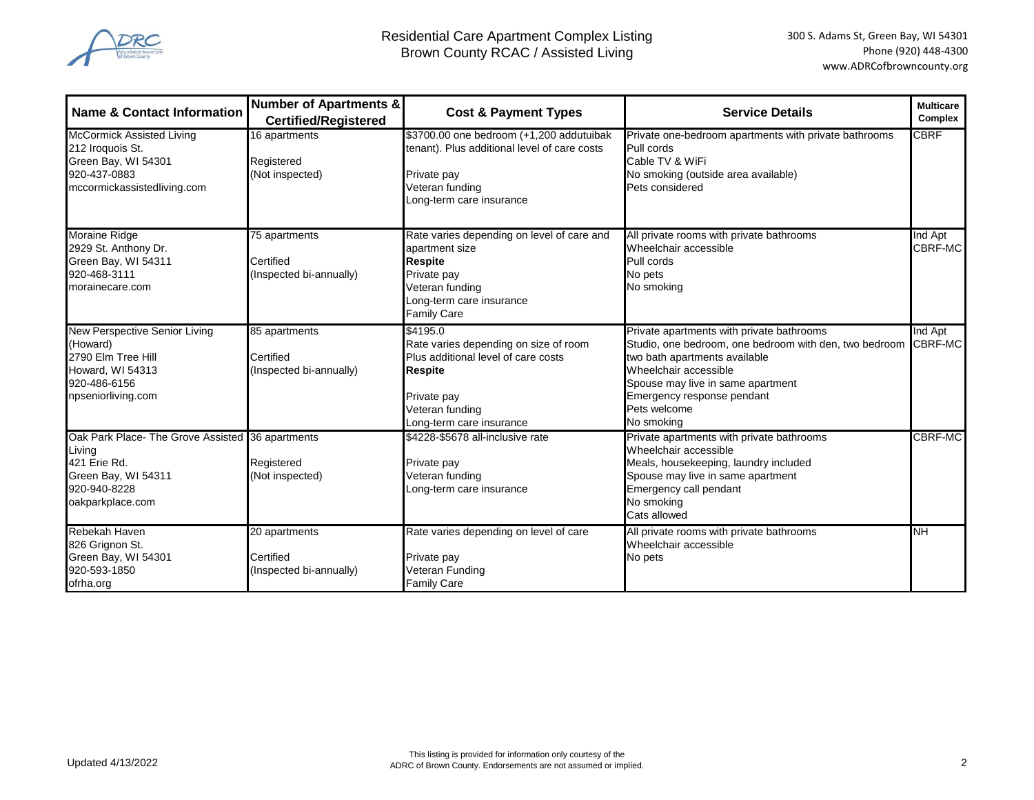

| <b>Name &amp; Contact Information</b>                                                                                                 | <b>Number of Apartments &amp;</b><br><b>Certified/Registered</b> | <b>Cost &amp; Payment Types</b>                                                                                                                                          | <b>Service Details</b>                                                                                                                                                                                                                                         | <b>Multicare</b><br>Complex |
|---------------------------------------------------------------------------------------------------------------------------------------|------------------------------------------------------------------|--------------------------------------------------------------------------------------------------------------------------------------------------------------------------|----------------------------------------------------------------------------------------------------------------------------------------------------------------------------------------------------------------------------------------------------------------|-----------------------------|
| <b>McCormick Assisted Living</b><br>212 Iroquois St.<br>Green Bay, WI 54301<br>920-437-0883<br>mccormickassistedliving.com            | 16 apartments<br>Registered<br>(Not inspected)                   | \$3700.00 one bedroom (+1,200 addutuibak<br>tenant). Plus additional level of care costs<br>Private pay<br>Veteran funding<br>Long-term care insurance                   | Private one-bedroom apartments with private bathrooms<br>Pull cords<br>Cable TV & WiFi<br>No smoking (outside area available)<br>Pets considered                                                                                                               | <b>CBRF</b>                 |
| Moraine Ridge<br>2929 St. Anthony Dr.<br>Green Bay, WI 54311<br>920-468-3111<br>morainecare.com                                       | 75 apartments<br>Certified<br>(Inspected bi-annually)            | Rate varies depending on level of care and<br>apartment size<br><b>Respite</b><br>Private pay<br>Veteran funding<br>Long-term care insurance<br>Family Care              | All private rooms with private bathrooms<br>Wheelchair accessible<br>Pull cords<br>No pets<br>No smoking                                                                                                                                                       | Ind Apt<br>CBRF-MC          |
| New Perspective Senior Living<br>(Howard)<br>2790 Elm Tree Hill<br>Howard, WI 54313<br>920-486-6156<br>npseniorliving.com             | 85 apartments<br>Certified<br>(Inspected bi-annually)            | \$4195.0<br>Rate varies depending on size of room<br>Plus additional level of care costs<br><b>Respite</b><br>Private pay<br>Veteran funding<br>Long-term care insurance | Private apartments with private bathrooms<br>Studio, one bedroom, one bedroom with den, two bedroom<br>two bath apartments available<br>Wheelchair accessible<br>Spouse may live in same apartment<br>Emergency response pendant<br>Pets welcome<br>No smoking | Ind Apt<br>CBRF-MC          |
| Oak Park Place- The Grove Assisted 36 apartments<br>Living<br>421 Erie Rd.<br>Green Bay, WI 54311<br>920-940-8228<br>oakparkplace.com | Registered<br>(Not inspected)                                    | \$4228-\$5678 all-inclusive rate<br>Private pay<br>Veteran funding<br>Long-term care insurance                                                                           | Private apartments with private bathrooms<br>Wheelchair accessible<br>Meals, housekeeping, laundry included<br>Spouse may live in same apartment<br>Emergency call pendant<br>No smoking<br>Cats allowed                                                       | CBRF-MC                     |
| Rebekah Haven<br>826 Grignon St.<br>Green Bay, WI 54301<br>920-593-1850<br>ofrha.org                                                  | 20 apartments<br>Certified<br>(Inspected bi-annually)            | Rate varies depending on level of care<br>Private pay<br>Veteran Funding<br><b>Family Care</b>                                                                           | All private rooms with private bathrooms<br>Wheelchair accessible<br>No pets                                                                                                                                                                                   | NΗ                          |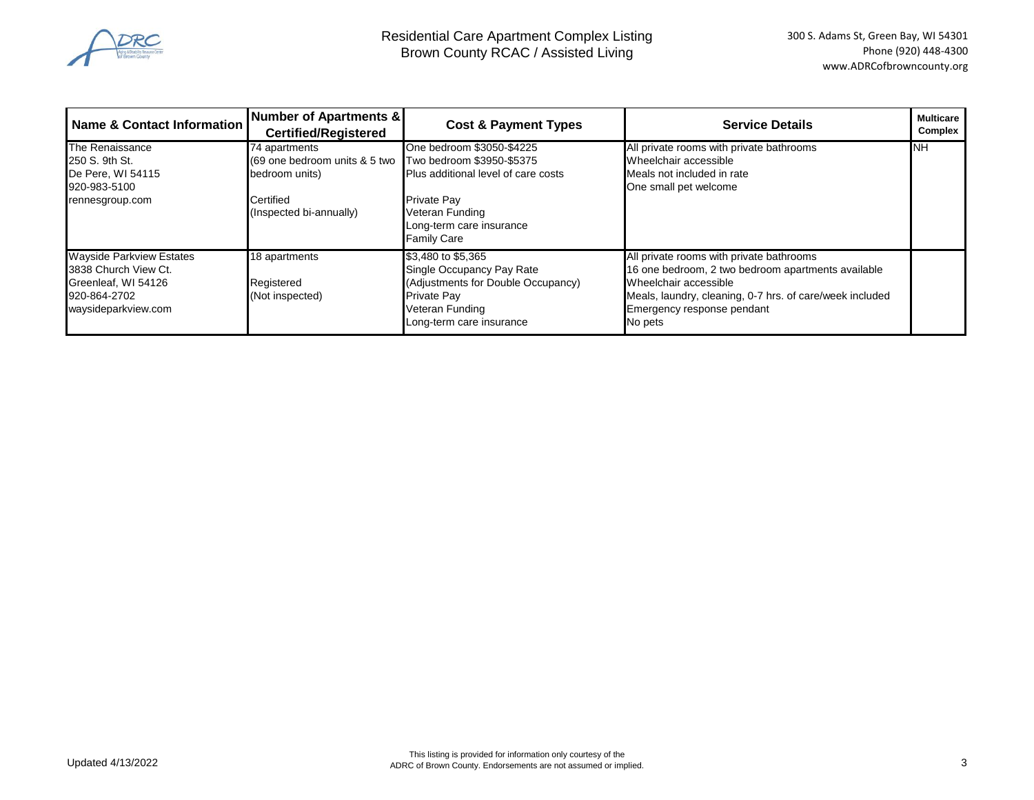

| Name & Contact Information                                                                                            | Number of Apartments &<br><b>Certified/Registered</b>                                                    | <b>Cost &amp; Payment Types</b>                                                                                                                                                          | <b>Service Details</b>                                                                                                                                                                                                       | <b>Multicare</b><br>Complex |
|-----------------------------------------------------------------------------------------------------------------------|----------------------------------------------------------------------------------------------------------|------------------------------------------------------------------------------------------------------------------------------------------------------------------------------------------|------------------------------------------------------------------------------------------------------------------------------------------------------------------------------------------------------------------------------|-----------------------------|
| The Renaissance<br>250 S. 9th St.<br>De Pere, WI 54115<br>920-983-5100<br>rennesgroup.com                             | 74 apartments<br>(69 one bedroom units & 5 two<br>bedroom units)<br>Certified<br>(Inspected bi-annually) | One bedroom \$3050-\$4225<br>Two bedroom \$3950-\$5375<br>Plus additional level of care costs<br><b>Private Pay</b><br>Veteran Funding<br>Long-term care insurance<br><b>Family Care</b> | All private rooms with private bathrooms<br>Wheelchair accessible<br>Meals not included in rate<br>One small pet welcome                                                                                                     | <b>INH</b>                  |
| <b>Wayside Parkview Estates</b><br>3838 Church View Ct.<br>Greenleaf, WI 54126<br>920-864-2702<br>waysideparkview.com | 18 apartments<br>Registered<br>(Not inspected)                                                           | \$3,480 to \$5,365<br>Single Occupancy Pay Rate<br>(Adjustments for Double Occupancy)<br><b>Private Pay</b><br>Veteran Funding<br>Long-term care insurance                               | All private rooms with private bathrooms<br>16 one bedroom, 2 two bedroom apartments available<br>Wheelchair accessible<br>Meals, laundry, cleaning, 0-7 hrs. of care/week included<br>Emergency response pendant<br>No pets |                             |